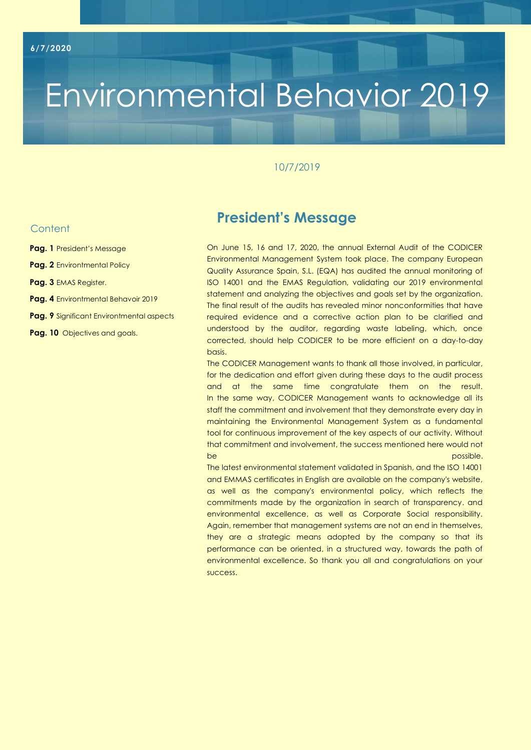# Environmental Behavior 2019

### 10/7/2019

### **Content**

- **Pag. 1** President's Message
- **Pag. 2** Environtmental Policy
- **Pag. 3** EMAS Register.
- **Pag. 4** Environtmental Behavoir 2019
- **Pag. 9** Significant Environtmental aspects
- **Pag. 10** Objectives and goals.

## **President's Message**

On June 15, 16 and 17, 2020, the annual External Audit of the CODICER Environmental Management System took place. The company European Quality Assurance Spain, S.L. (EQA) has audited the annual monitoring of ISO 14001 and the EMAS Regulation, validating our 2019 environmental statement and analyzing the objectives and goals set by the organization. The final result of the audits has revealed minor nonconformities that have required evidence and a corrective action plan to be clarified and understood by the auditor, regarding waste labeling, which, once corrected, should help CODICER to be more efficient on a day-to-day basis.

The CODICER Management wants to thank all those involved, in particular, for the dedication and effort given during these days to the audit process and at the same time congratulate them on the result. In the same way, CODICER Management wants to acknowledge all its staff the commitment and involvement that they demonstrate every day in maintaining the Environmental Management System as a fundamental tool for continuous improvement of the key aspects of our activity. Without that commitment and involvement, the success mentioned here would not be possible. The procedure of the possible control of the possible.

The latest environmental statement validated in Spanish, and the ISO 14001 and EMMAS certificates in English are available on the company's website, as well as the company's environmental policy, which reflects the commitments made by the organization in search of transparency. and environmental excellence, as well as Corporate Social responsibility. Again, remember that management systems are not an end in themselves, they are a strategic means adopted by the company so that its performance can be oriented, in a structured way, towards the path of environmental excellence. So thank you all and congratulations on your success.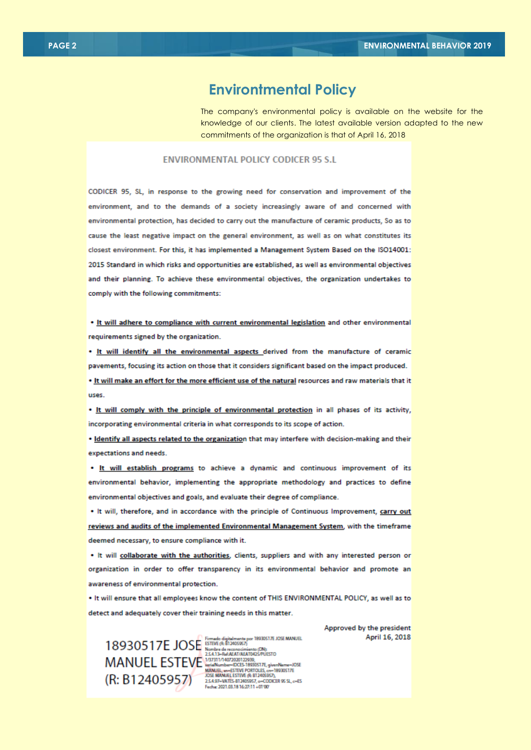### **Environtmental Policy**

The company's environmental policy is available on the website for the knowledge of our clients. The latest available version adapted to the new commitments of the organization is that of April 16, 2018

#### **ENVIRONMENTAL POLICY CODICER 95 S.I.**

CODICER 95, SL, in response to the growing need for conservation and improvement of the environment, and to the demands of a society increasingly aware of and concerned with environmental protection, has decided to carry out the manufacture of ceramic products, So as to cause the least negative impact on the general environment, as well as on what constitutes its closest environment. For this, it has implemented a Management System Based on the ISO14001: 2015 Standard in which risks and opportunities are established, as well as environmental objectives and their planning. To achieve these environmental objectives, the organization undertakes to comply with the following commitments:

. It will adhere to compliance with current environmental legislation and other environmental requirements signed by the organization.

. It will identify all the environmental aspects derived from the manufacture of ceramic pavements, focusing its action on those that it considers significant based on the impact produced.

. It will make an effort for the more efficient use of the natural resources and raw materials that it DSPS

. It will comply with the principle of environmental protection in all phases of its activity, incorporating environmental criteria in what corresponds to its scope of action.

. Identify all aspects related to the organization that may interfere with decision-making and their expectations and needs.

. It will establish programs to achieve a dynamic and continuous improvement of its environmental behavior, implementing the appropriate methodology and practices to define environmental objectives and goals, and evaluate their degree of compliance.

. It will, therefore, and in accordance with the principle of Continuous Improvement, carry out reviews and audits of the implemented Environmental Management System, with the timeframe deemed necessary, to ensure compliance with it.

. It will collaborate with the authorities, clients, suppliers and with any interested person or organization in order to offer transparency in its environmental behavior and promote an awareness of environmental protection.

. It will ensure that all employees know the content of THIS ENVIRONMENTAL POLICY, as well as to detect and adequately cover their training needs in this matter.

> 25497-VATES-B12405057. o-CODICER 95 SL. c=ES Fecha: 2021.03.18 16:27:11 +01:00

Approved by the president April 16, 2018

 $18930517E$  JOSE STATE SUBSECTED FOR A SUBSECT PRESERVED FOR A SUBSECT OF A MORE SUBSECTION OF THE VIOLENCE SUBSECTION OF THE VIOLENCE SUBSECTION OF THE VIOLENCE SUBSECTION OF THE VIOLENCE SUBSECTION OF THE VIOLENCE SUBSE (R: B12405957)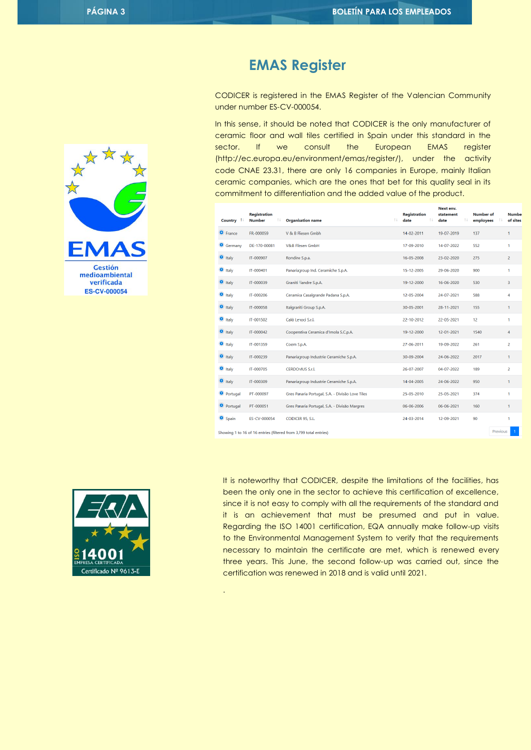## $\Lambda$  $\Delta$ **Gestión** medioambiental verificada **ES-CV-000054**

## **EMAS Register**

CODICER is registered in the EMAS Register of the Valencian Community under number ES-CV-000054.

In this sense, it should be noted that CODICER is the only manufacturer of ceramic floor and wall tiles certified in Spain under this standard in the sector. If we consult the European EMAS register (http://ec.europa.eu/environment/emas/register/), under the activity code CNAE 23.31, there are only 16 companies in Europe, mainly Italian ceramic companies, which are the ones that bet for this quality seal in its commitment to differentiation and the added value of the product.

| Country 1         | <b>Registration</b><br><b>Number</b><br>Τŧ | <b>Organisation name</b>                                          | îI. | <b>Registration</b><br>11<br>date | Next env.<br>statement<br>date | 14 | <b>Number of</b><br>employees |          | <b>Numbe</b><br>of sites |
|-------------------|--------------------------------------------|-------------------------------------------------------------------|-----|-----------------------------------|--------------------------------|----|-------------------------------|----------|--------------------------|
| <b>O</b> France   | FR-000059                                  | V & B Fliesen Gmbh                                                |     | 14-02-2011                        | 19-07-2019                     |    | 137                           |          | 1                        |
| Germany           | DE-170-00081                               | <b>V&amp;B Fliesen GmbH</b>                                       |     | 17-09-2010                        | 14-07-2022                     |    | 552                           |          | 1                        |
| $\bullet$ Italy   | IT-000907                                  | Rondine S.p.a.                                                    |     | 16-05-2008                        | 23-02-2020                     |    | 275                           |          | $\overline{2}$           |
| $\bullet$ Italy   | IT-000401                                  | Panariagroup Ind. Ceramiche S.p.A.                                |     | 15-12-2005                        | 29-06-2020                     |    | 900                           |          | 1                        |
| $\bullet$ Italy   | IT-000039                                  | Graniti Fiandre S.p.A.                                            |     | 19-12-2000                        | 16-06-2020                     |    | 530                           |          | 3                        |
| $\bullet$ Italy   | IT-000206                                  | Ceramica Casalgrande Padana S.p.A.                                |     | 12-05-2004                        | 24-07-2021                     |    | 588                           |          | 4                        |
| <b>O</b> Italy    | IT-000058                                  | Italgraniti Group S.p.A.                                          |     | 30-05-2001                        | 28-11-2021                     |    | 155                           |          | 1                        |
| $\bullet$ Italy   | IT-001502                                  | Calò Lenoci S.r.l.                                                |     | 22-10-2012                        | 22-05-2021                     |    | 12                            |          | 1                        |
| $\bullet$ Italy   | IT-000042                                  | Cooperativa Ceramica d'Imola S.C.p.A.                             |     | 19-12-2000                        | 12-01-2021                     |    | 1540                          |          | 4                        |
| $\bullet$ Italy   | IT-001359                                  | Coem S.p.A.                                                       |     | 27-06-2011                        | 19-09-2022                     |    | 261                           |          | $\overline{a}$           |
| $\bullet$ Italy   | IT-000239                                  | Panariagroup Industrie Ceramiche S.p.A.                           |     | 30-09-2004                        | 24-06-2022                     |    | 2017                          |          | 1                        |
| $\bullet$ Italy   | IT-000705                                  | <b>CERDOMUS S.r.l.</b>                                            |     | 26-07-2007                        | 04-07-2022                     |    | 189                           |          | $\overline{2}$           |
| $\bullet$ Italy   | IT-000309                                  | Panariagroup Industrie Ceramiche S.p.A.                           |     | 14-04-2005                        | 24-06-2022                     |    | 950                           |          | 1                        |
| <b>O</b> Portugal | PT-000097                                  | Gres Panaria Portugal, S.A. - Divisão Love Tiles                  |     | 25-05-2010                        | 25-05-2021                     |    | 374                           |          | 1                        |
| <b>O</b> Portugal | PT-000051                                  | Gres Panaria Portugal, S.A. - Divisão Margres                     |     | 06-06-2006                        | 06-06-2021                     |    | 160                           |          | 1                        |
| Spain             | ES-CV-000054                               | CODICER 95, S.L.                                                  |     | 24-03-2014                        | 12-09-2021                     |    | 90                            |          | 1                        |
|                   |                                            | Showing 1 to 16 of 16 entries (filtered from 3 799 total entries) |     |                                   |                                |    |                               | Previous |                          |



.

It is noteworthy that CODICER, despite the limitations of the facilities, has been the only one in the sector to achieve this certification of excellence, since it is not easy to comply with all the requirements of the standard and it is an achievement that must be presumed and put in value. Regarding the ISO 14001 certification, EQA annually make follow-up visits to the Environmental Management System to verify that the requirements necessary to maintain the certificate are met, which is renewed every three years. This June, the second follow-up was carried out, since the certification was renewed in 2018 and is valid until 2021.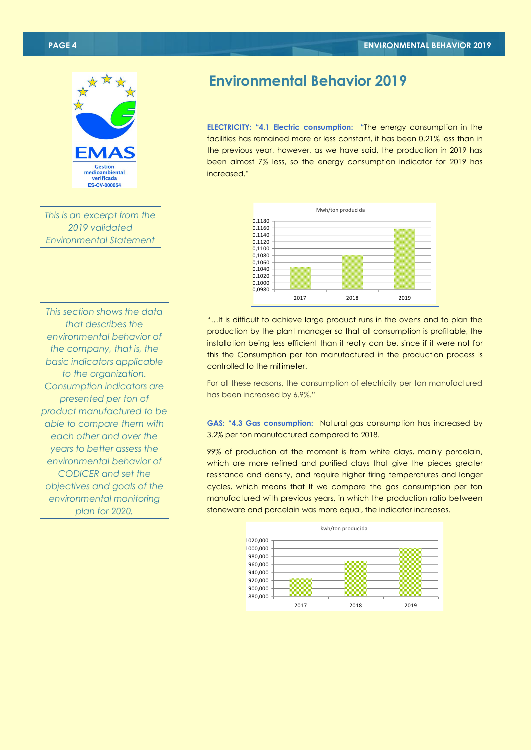

*This is an excerpt from the 2019 validated Environmental Statement*

## **Environmental Behavior 2019**

**ELECTRICITY: "4.1 Electric consumption: "**The energy consumption in the facilities has remained more or less constant, it has been 0.21% less than in the previous year, however, as we have said, the production in 2019 has been almost 7% less, so the energy consumption indicator for 2019 has increased."



*This section shows the data that describes the environmental behavior of the company, that is, the basic indicators applicable to the organization. Consumption indicators are presented per ton of product manufactured to be able to compare them with each other and over the years to better assess the environmental behavior of CODICER and set the objectives and goals of the environmental monitoring plan for 2020.*

"…It is difficult to achieve large product runs in the ovens and to plan the production by the plant manager so that all consumption is profitable, the installation being less efficient than it really can be, since if it were not for this the Consumption per ton manufactured in the production process is controlled to the millimeter.

For all these reasons, the consumption of electricity per ton manufactured has been increased by 6.9%."

**GAS: "4.3 Gas consumption:** Natural gas consumption has increased by 3.2% per ton manufactured compared to 2018.

99% of production at the moment is from white clays, mainly porcelain, which are more refined and purified clays that give the pieces greater resistance and density, and require higher firing temperatures and longer cycles, which means that If we compare the gas consumption per ton manufactured with previous years, in which the production ratio between stoneware and porcelain was more equal, the indicator increases.

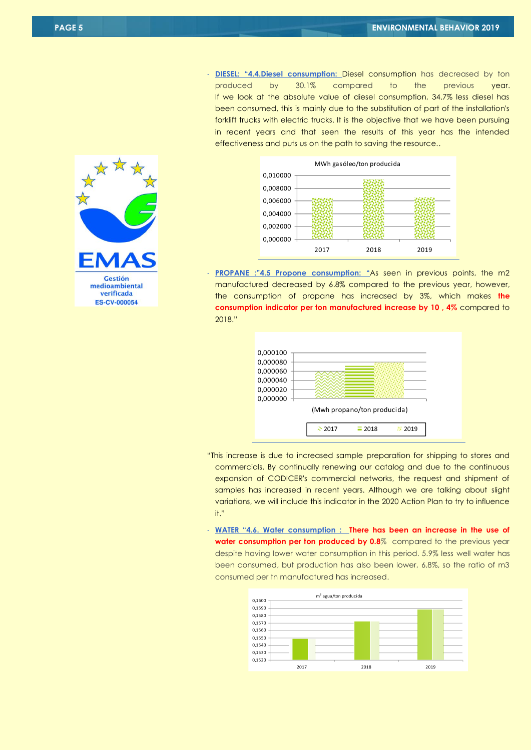- **DIESEL: "4.4.Diesel consumption:** Diesel consumption has decreased by ton produced by 30.1% compared to the previous year. If we look at the absolute value of diesel consumption, 34.7% less diesel has been consumed, this is mainly due to the substitution of part of the installation's forklift trucks with electric trucks. It is the objective that we have been pursuing in recent years and that seen the results of this year has the intended effectiveness and puts us on the path to saving the resource..



**PROPANE :"4.5 Propone consumption: "As seen in previous points, the m2** manufactured decreased by 6.8% compared to the previous year, however, the consumption of propane has increased by 3%, which makes **the consumption indicator per ton manufactured increase by 10 , 4%** compared to 2018."



- "This increase is due to increased sample preparation for shipping to stores and commercials. By continually renewing our catalog and due to the continuous expansion of CODICER's commercial networks, the request and shipment of samples has increased in recent years. Although we are talking about slight variations, we will include this indicator in the 2020 Action Plan to try to influence it."
- **WATER "4.6. Water consumption : There has been an increase in the use of water consumption per ton produced by 0.8**% compared to the previous year despite having lower water consumption in this period. 5.9% less well water has been consumed, but production has also been lower, 6.8%, so the ratio of m3 consumed per tn manufactured has increased.



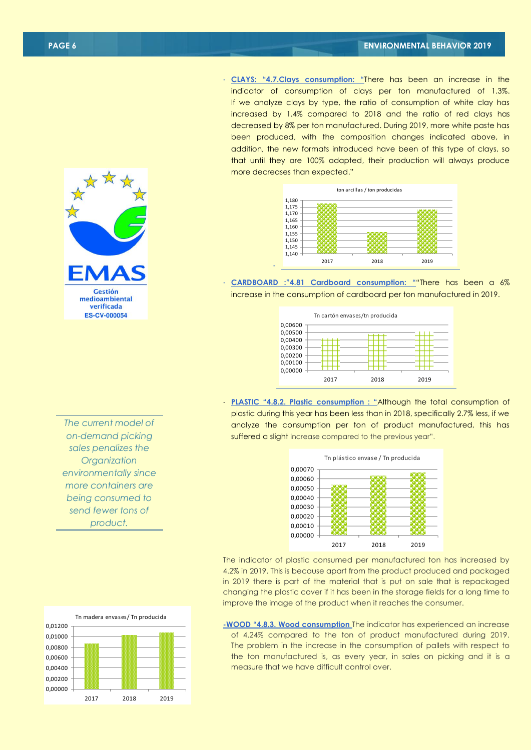- **CLAYS: "4.7.Clays consumption: "**There has been an increase in the indicator of consumption of clays per ton manufactured of 1.3%. If we analyze clays by type, the ratio of consumption of white clay has increased by 1.4% compared to 2018 and the ratio of red clays has decreased by 8% per ton manufactured. During 2019, more white paste has been produced, with the composition changes indicated above, in addition, the new formats introduced have been of this type of clays, so that until they are 100% adapted, their production will always produce more decreases than expected."



- **CARDBOARD :"4.81 Cardboard consumption: "**"There has been a 6% increase in the consumption of cardboard per ton manufactured in 2019.

-



- **PLASTIC "4.8.2. Plastic consumption : "**Although the total consumption of plastic during this year has been less than in 2018, specifically 2.7% less, if we analyze the consumption per ton of product manufactured, this has suffered a slight increase compared to the previous year".



The indicator of plastic consumed per manufactured ton has increased by 4.2% in 2019. This is because apart from the product produced and packaged in 2019 there is part of the material that is put on sale that is repackaged changing the plastic cover if it has been in the storage fields for a long time to improve the image of the product when it reaches the consumer.

**-WOOD "4.8.3. Wood consumption** The indicator has experienced an increase of 4.24% compared to the ton of product manufactured during 2019. The problem in the increase in the consumption of pallets with respect to the ton manufactured is, as every year, in sales on picking and it is a measure that we have difficult control over.





**Gestión** medioambiental verificada **ES-CV-000054**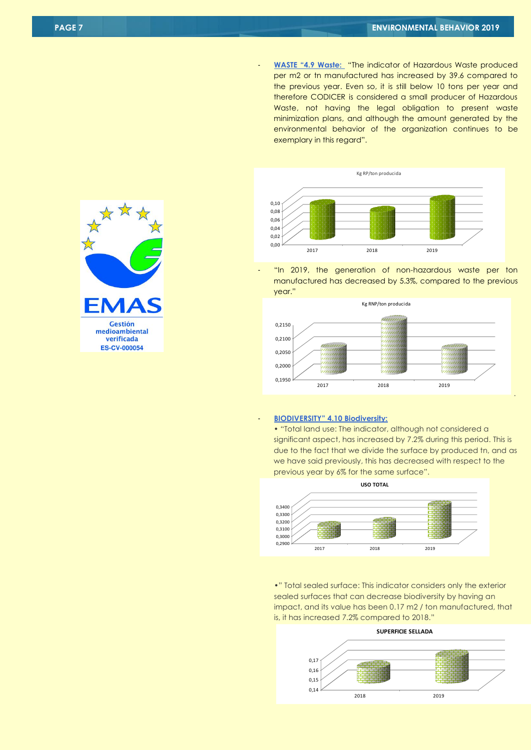- **WASTE "4.9 Waste:** "The indicator of Hazardous Waste produced per m2 or tn manufactured has increased by 39.6 compared to the previous year. Even so, it is still below 10 tons per year and therefore CODICER is considered a small producer of Hazardous Waste, not having the legal obligation to present waste minimization plans, and although the amount generated by the environmental behavior of the organization continues to be exemplary in this regard".



"In 2019, the generation of non-hazardous waste per ton manufactured has decreased by 5.3%, compared to the previous year."



#### - **BIODIVERSITY" 4.10 Biodiversity:**

• "Total land use: The indicator, although not considered a significant aspect, has increased by 7.2% during this period. This is due to the fact that we divide the surface by produced tn, and as we have said previously, this has decreased with respect to the previous year by 6% for the same surface".

.



•" Total sealed surface: This indicator considers only the exterior sealed surfaces that can decrease biodiversity by having an impact, and its value has been 0.17 m2 / ton manufactured, that is, it has increased 7.2% compared to 2018."



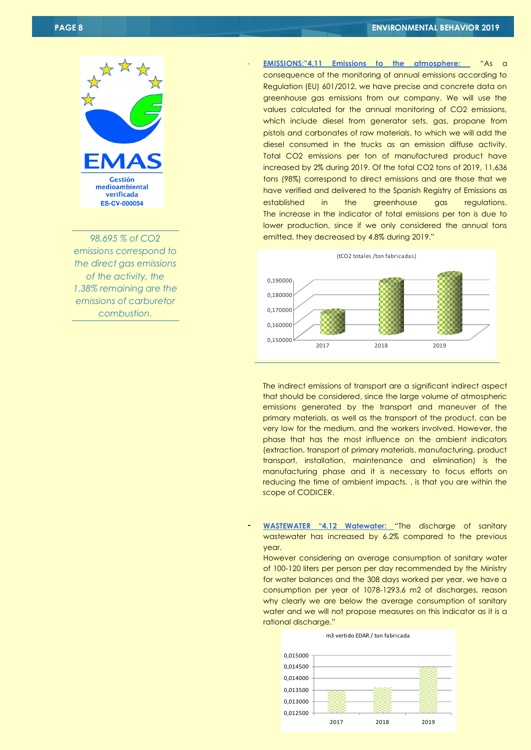Gestión medioambiental verificada **ES-CV-000054** 

*98,695 % of CO2 emissions correspond to the direct gas emissions of the activity, the 1.38% remaining are the emissions of carburetor combustion.*

- **EMISSIONS:"4.11 Emissions to the atmosphere:** "As a consequence of the monitoring of annual emissions according to Regulation (EU) 601/2012, we have precise and concrete data on greenhouse gas emissions from our company. We will use the values calculated for the annual monitoring of CO2 emissions, which include diesel from generator sets, gas, propane from pistols and carbonates of raw materials, to which we will add the diesel consumed in the trucks as an emission diffuse activity. Total CO2 emissions per ton of manufactured product have increased by 2% during 2019. Of the total CO2 tons of 2019, 11,636 tons (98%) correspond to direct emissions and are those that we have verified and delivered to the Spanish Registry of Emissions as established in the greenhouse gas regulations. The increase in the indicator of total emissions per ton is due to lower production, since if we only considered the annual tons emitted, they decreased by 4.8% during 2019."



The indirect emissions of transport are a significant indirect aspect that should be considered, since the large volume of atmospheric emissions generated by the transport and maneuver of the primary materials, as well as the transport of the product, can be very low for the medium. and the workers involved. However, the phase that has the most influence on the ambient indicators (extraction, transport of primary materials, manufacturing, product transport, installation, maintenance and elimination) is the manufacturing phase and it is necessary to focus efforts on reducing the time of ambient impacts. , is that you are within the scope of CODICER.

- **WASTEWATER "4.12 Watewater:** "The discharge of sanitary wastewater has increased by 6.2% compared to the previous year.

However considering an average consumption of sanitary water of 100-120 liters per person per day recommended by the Ministry for water balances and the 308 days worked per year, we have a consumption per year of 1078-1293.6 m2 of discharges, reason why clearly we are below the average consumption of sanitary water and we will not propose measures on this indicator as it is a rational discharge."



m3 vertido EDAR / ton fabricada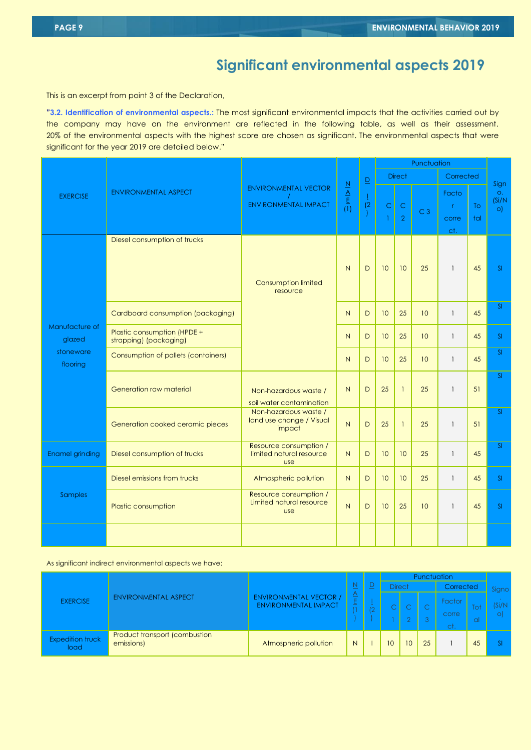This is an excerpt from point 3 of the Declaration,

**"3.2. Identification of environmental aspects.:** The most significant environmental impacts that the activities carried out by the company may have on the environment are reflected in the following table, as well as their assessment. 20% of the environmental aspects with the highest score are chosen as significant. The environmental aspects that were significant for the year 2019 are detailed below."

|                          |                                                       |                                                                  | $\frac{N}{\Delta}$ $\frac{N}{\Delta}$ | $\underline{\mathsf{D}}$<br>$\frac{1}{2}$ | Punctuation       |                               |                  |                            |           |                                  |
|--------------------------|-------------------------------------------------------|------------------------------------------------------------------|---------------------------------------|-------------------------------------------|-------------------|-------------------------------|------------------|----------------------------|-----------|----------------------------------|
|                          |                                                       |                                                                  |                                       |                                           |                   | <b>Direct</b>                 |                  | Corrected                  |           |                                  |
| <b>EXERCISE</b>          | <b>ENVIRONMENTAL ASPECT</b>                           | <b>ENVIRONMENTAL VECTOR</b><br><b>ENVIRONMENTAL IMPACT</b>       |                                       |                                           | Ċ<br>$\mathbf{1}$ | $\mathsf C$<br>$\overline{2}$ | C <sub>3</sub>   | Facto<br>r<br>corre<br>ct. | To<br>tal | Sign<br>O.<br>(Si/N)<br>$\circ)$ |
|                          | Diesel consumption of trucks                          | N<br>Consumption limited<br>resource<br>$\overline{N}$           |                                       | D                                         | 10                | 10                            | 25               | $\mathbf{1}$               | 45        | SI                               |
|                          | Cardboard consumption (packaging)                     |                                                                  |                                       | D                                         | 10 <sup>°</sup>   | 25                            | 10 <sup>10</sup> | $\mathbf{1}$               | 45        | SI                               |
| Manufacture of<br>glazed | Plastic consumption (HPDE +<br>strapping) (packaging) |                                                                  | N                                     | D                                         | 10                | 25                            | 10 <sup>°</sup>  | $\mathbf{1}$               | 45        | SI                               |
| stoneware<br>flooring    | Consumption of pallets (containers)                   |                                                                  | N                                     | D                                         | 10 <sup>°</sup>   | 25                            | 10 <sup>10</sup> | $\mathbf{1}$               | 45        | $\overline{\mathsf{S}}$          |
|                          | Generation raw material                               | Non-hazardous waste /<br>soil water contamination                | N                                     | D                                         | 25                | $\mathbf{1}$                  | 25               | $\mathbf{1}$               | 51        | SI                               |
|                          | Generation cooked ceramic pieces                      | Non-hazardous waste /<br>land use change / Visual<br>impact      | $\overline{N}$                        | D                                         | 25                | $\mathbf{1}$                  | 25               | $\mathbf{1}$               | 51        | SI                               |
| <b>Enamel grinding</b>   | Diesel consumption of trucks                          | Resource consumption /<br>limited natural resource<br><b>use</b> |                                       | D                                         | 10                | 10                            | 25               | $\mathbf{1}$               | 45        | SI                               |
|                          | Diesel emissions from trucks                          | Atmospheric pollution                                            | $\overline{N}$                        | D                                         | 10                | 10                            | 25               | $\mathbf{1}$               | 45        | SI                               |
| <b>Samples</b>           | Plastic consumption                                   | Resource consumption /<br>Limited natural resource<br><b>use</b> | $\overline{N}$                        | D                                         | 10                | 25                            | 10 <sup>10</sup> | $\mathbf{1}$               | 45        | SI                               |
|                          |                                                       |                                                                  |                                       |                                           |                   |                               |                  |                            |           |                                  |

As significant indirect environmental aspects we have:

|                                 |                                             |                                                              |        |        | Punctuation   |    |    |                        |           |       |
|---------------------------------|---------------------------------------------|--------------------------------------------------------------|--------|--------|---------------|----|----|------------------------|-----------|-------|
|                                 | <b>ENVIRONMENTAL ASPECT</b>                 |                                                              |        | 느      | <b>Direct</b> |    |    | Corrected              |           | Signo |
| <b>EXERCISE</b>                 |                                             | <b>ENVIRONMENTAL VECTOR /</b><br><b>ENVIRONMENTAL IMPACT</b> | ◬<br>느 | $\sim$ |               |    | 3  | Factor<br>corre<br>ct. | Tot<br>al | S/N   |
| <b>Expedition truck</b><br>load | Product transport (combustion<br>emissions) | Atmospheric pollution                                        | N      |        | 10            | 10 | 25 |                        | 45        |       |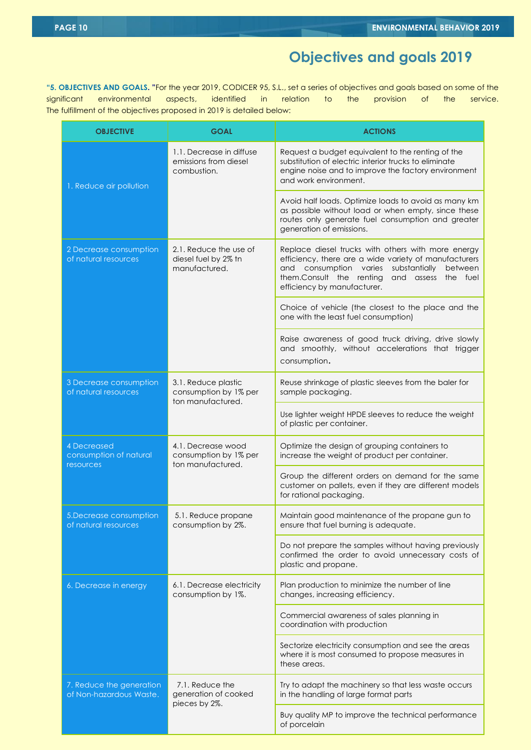## **Objectives and goals 2019**

**"5. OBJECTIVES AND GOALS. "**For the year 2019, CODICER 95, S.L., set a series of objectives and goals based on some of the significant environmental aspects, identified in relation to the provision of the service. The fulfillment of the objectives proposed in 2019 is detailed below:

| <b>OBJECTIVE</b>                                          | <b>GOAL</b>                                                       | <b>ACTIONS</b>                                                                                                                                                                                                                                         |  |  |  |  |  |
|-----------------------------------------------------------|-------------------------------------------------------------------|--------------------------------------------------------------------------------------------------------------------------------------------------------------------------------------------------------------------------------------------------------|--|--|--|--|--|
| 1. Reduce air pollution                                   | 1.1. Decrease in diffuse<br>emissions from diesel<br>combustion.  | Request a budget equivalent to the renting of the<br>substitution of electric interior trucks to eliminate<br>engine noise and to improve the factory environment<br>and work environment.                                                             |  |  |  |  |  |
|                                                           |                                                                   | Avoid half loads. Optimize loads to avoid as many km<br>as possible without load or when empty, since these<br>routes only generate fuel consumption and greater<br>generation of emissions.                                                           |  |  |  |  |  |
| 2 Decrease consumption<br>of natural resources            | 2.1. Reduce the use of<br>diesel fuel by 2% tn<br>manufactured.   | Replace diesel trucks with others with more energy<br>efficiency, there are a wide variety of manufacturers<br>and consumption varies<br>substantially<br>between<br>them.Consult the renting<br>and assess<br>the fuel<br>efficiency by manufacturer. |  |  |  |  |  |
|                                                           |                                                                   | Choice of vehicle (the closest to the place and the<br>one with the least fuel consumption)                                                                                                                                                            |  |  |  |  |  |
|                                                           |                                                                   | Raise awareness of good truck driving, drive slowly<br>and smoothly, without accelerations that trigger<br>consumption.                                                                                                                                |  |  |  |  |  |
| 3 Decrease consumption<br>of natural resources            | 3.1. Reduce plastic<br>consumption by 1% per<br>ton manufactured. | Reuse shrinkage of plastic sleeves from the baler for<br>sample packaging.                                                                                                                                                                             |  |  |  |  |  |
|                                                           |                                                                   | Use lighter weight HPDE sleeves to reduce the weight<br>of plastic per container.                                                                                                                                                                      |  |  |  |  |  |
| <b>4 Decreased</b><br>consumption of natural<br>resources | 4.1. Decrease wood<br>consumption by 1% per<br>ton manufactured.  | Optimize the design of grouping containers to<br>increase the weight of product per container.                                                                                                                                                         |  |  |  |  |  |
|                                                           |                                                                   | Group the different orders on demand for the same<br>customer on pallets, even if they are different models<br>for rational packaging.                                                                                                                 |  |  |  |  |  |
| 5. Decrease consumption<br>of natural resources           | 5.1. Reduce propane<br>consumption by 2%.                         | Maintain good maintenance of the propane gun to<br>ensure that fuel burning is adequate.                                                                                                                                                               |  |  |  |  |  |
|                                                           |                                                                   | Do not prepare the samples without having previously<br>confirmed the order to avoid unnecessary costs of<br>plastic and propane.                                                                                                                      |  |  |  |  |  |
| 6. Decrease in energy                                     | 6.1. Decrease electricity<br>consumption by 1%.                   | Plan production to minimize the number of line<br>changes, increasing efficiency.                                                                                                                                                                      |  |  |  |  |  |
|                                                           |                                                                   | Commercial awareness of sales planning in<br>coordination with production                                                                                                                                                                              |  |  |  |  |  |
|                                                           |                                                                   | Sectorize electricity consumption and see the areas<br>where it is most consumed to propose measures in<br>these areas.                                                                                                                                |  |  |  |  |  |
| 7. Reduce the generation<br>of Non-hazardous Waste.       | 7.1. Reduce the<br>generation of cooked                           | Try to adapt the machinery so that less waste occurs<br>in the handling of large format parts                                                                                                                                                          |  |  |  |  |  |
|                                                           | pieces by 2%.                                                     | Buy quality MP to improve the technical performance<br>of porcelain                                                                                                                                                                                    |  |  |  |  |  |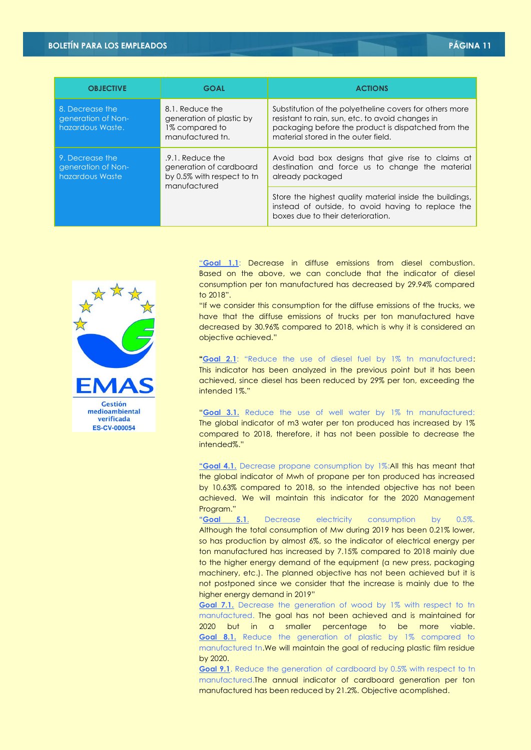### **BOLETÍN PARA LOS EMPLEADOS PÁGINA 11**

| <b>OBJECTIVE</b>                                          | <b>GOAL</b>                                                                               | <b>ACTIONS</b>                                                                                                                                                                                            |
|-----------------------------------------------------------|-------------------------------------------------------------------------------------------|-----------------------------------------------------------------------------------------------------------------------------------------------------------------------------------------------------------|
| 8. Decrease the<br>generation of Non-<br>hazardous Waste. | 8.1. Reduce the<br>generation of plastic by<br>1% compared to<br>manufactured tn.         | Substitution of the polyetheline covers for others more<br>resistant to rain, sun, etc. to avoid changes in<br>packaging before the product is dispatched from the<br>material stored in the outer field. |
| 9. Decrease the<br>generation of Non-<br>hazardous Waste  | .9.1. Reduce the<br>generation of cardboard<br>by 0.5% with respect to tn<br>manufactured | Avoid bad box designs that give rise to claims at<br>destination and force us to change the material<br>already packaged                                                                                  |
|                                                           |                                                                                           | Store the highest quality material inside the buildings,<br>instead of outside, to avoid having to replace the<br>boxes due to their deterioration.                                                       |



"**Goal 1.1**: Decrease in diffuse emissions from diesel combustion. Based on the above, we can conclude that the indicator of diesel consumption per ton manufactured has decreased by 29.94% compared to 2018".

"If we consider this consumption for the diffuse emissions of the trucks, we have that the diffuse emissions of trucks per ton manufactured have decreased by 30.96% compared to 2018, which is why it is considered an objective achieved."

**"Goal 2.1**: "Reduce the use of diesel fuel by 1% tn manufactured: This indicator has been analyzed in the previous point but it has been achieved, since diesel has been reduced by 29% per ton, exceeding the intended 1%."

"**Goal 3.1.** Reduce the use of well water by 1% tn manufactured: The global indicator of m3 water per ton produced has increased by 1% compared to 2018, therefore, it has not been possible to decrease the intended%."

**"Goal 4.1.** Decrease propane consumption by 1%:All this has meant that the global indicator of Mwh of propane per ton produced has increased by 10.63% compared to 2018, so the intended objective has not been achieved. We will maintain this indicator for the 2020 Management Program."

**"Goal 5.1**. Decrease electricity consumption by 0.5%. Although the total consumption of Mw during 2019 has been 0.21% lower, so has production by almost 6%, so the indicator of electrical energy per ton manufactured has increased by 7.15% compared to 2018 mainly due to the higher energy demand of the equipment (a new press, packaging machinery, etc.). The planned objective has not been achieved but it is not postponed since we consider that the increase is mainly due to the higher energy demand in 2019"

**Goal 7.1.** Decrease the generation of wood by 1% with respect to tn manufactured. The goal has not been achieved and is maintained for 2020 but in a smaller percentage to be more viable. **Goal 8.1.** Reduce the generation of plastic by 1% compared to manufactured tn.We will maintain the goal of reducing plastic film residue by 2020.

**Goal 9.1**. Reduce the generation of cardboard by 0.5% with respect to tn manufactured.The annual indicator of cardboard generation per ton manufactured has been reduced by 21.2%. Objective acomplished.